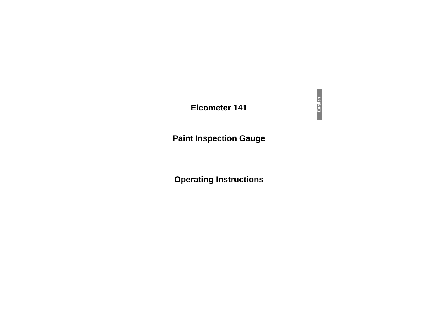## **Elcometer 141**

# **Paint Inspection Gauge**

# **Operating Instructions**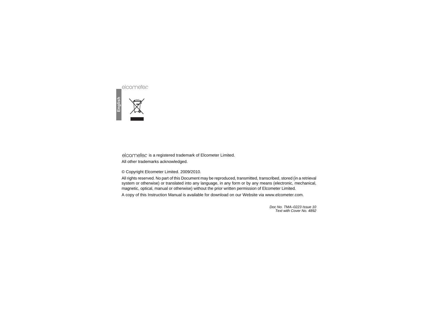

**English**

is a registered trademark of Elcometer Limited. RAll other trademarks acknowledged.

© Copyright Elcometer Limited. 2009/2010.

All rights reserved. No part of this Document may be reproduced, transmitted, transcribed, stored (in a retrieval system or otherwise) or translated into any language, in any form or by any means (electronic, mechanical, magnetic, optical, manual or otherwise) without the prior written permission of Elcometer Limited. A copy of this Instruction Manual is available for download on our Website via [www.elcometer.com](http://www.elcometer.com/downloads).

> *Doc No. TMA–0223 Issue 10Text with Cover No. 4892*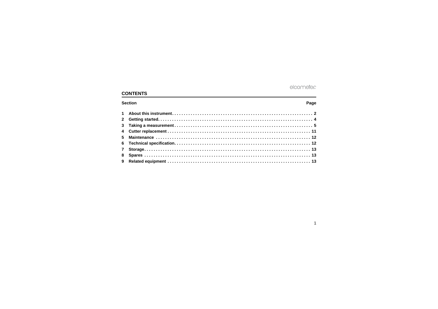## **CONTENTS**

#### Page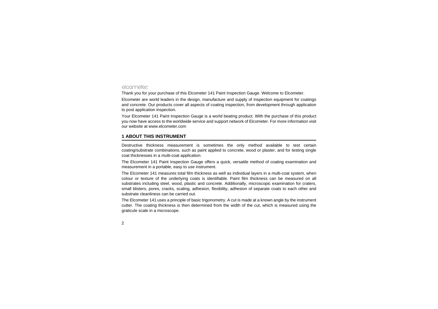Thank you for your purchase of this Elcometer 141 Paint Inspection Gauge. Welcome to Elcometer.

Elcometer are world leaders in the design, manufacture and supply of inspection equipment for coatings and concrete. Our products cover all aspects of coating inspection, from development through application to post application inspection.

[Your Elcometer 141 Paint Inspection Gauge is a world beating product. With the purchase of this product](http://www.elcometer.com) you now have access to the worldwide service and support network of Elcometer. For more information visit our website at www.elcometer.com

#### <span id="page-3-0"></span>**1 ABOUT THIS INSTRUMENT**

Destructive thickness measurement is sometimes the only method available to test certain coating/substrate combinations, such as paint applied to concrete, wood or plaster, and for testing single coat thicknesses in a multi-coat application.

The Elcometer 141 Paint Inspection Gauge offers a quick, versatile method of coating examination and measurement in a portable, easy to use instrument.

The Elcometer 141 measures total film thickness as well as individual layers in a multi-coat system, when colour or texture of the underlying coats is identifiable. Paint film thickness can be measured on all substrates including steel, wood, plastic and concrete. Additionally, microscopic examination for craters, small blisters, pores, cracks, scaling, adhesion, flexibility, adhesion of separate coats to each other and substrate cleanliness can be carried out.

The Elcometer 141 uses a principle of basic trigonometry. A cut is made at a known angle by the instrument cutter. The coating thickness is then determined from the width of the cut, which is measured using the graticule scale in a microscope.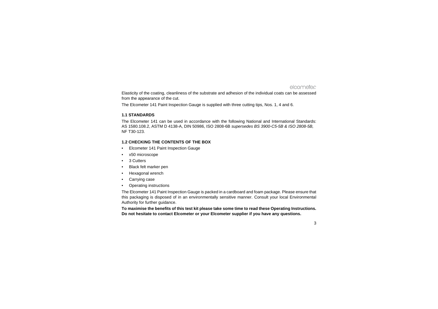Elasticity of the coating, cleanliness of the substrate and adhesion of the individual coats can be assessed from the appearance of the cut.

The Elcometer 141 Paint Inspection Gauge is supplied with three cutting tips, Nos. 1, 4 and 6.

#### **1.1 STANDARDS**

The Elcometer 141 can be used in accordance with the following National and International Standards: AS 1580.108.2, ASTM D 4138-A, DIN 50986, ISO 2808-6B *supersedes BS 3900-C5-5B & ISO 2808-5B,* NF T30-123.

#### **1.2 CHECKING THE CONTENTS OF THE BOX**

- •Elcometer 141 Paint Inspection Gauge
- •x50 microscope
- •3 Cutters
- •Black felt marker pen
- •Hexagonal wrench
- •Carrying case
- •Operating instructions

The Elcometer 141 Paint Inspection Gauge is packed in a cardboard and foam package. Please ensure that this packaging is disposed of in an environmentally sensitive manner. Consult your local Environmental Authority for further guidance.

**To maximise the benefits of this test kit please take some time to read these Operating Instructions. Do not hesitate to contact Elcometer or your Elcometer supplier if you have any questions.**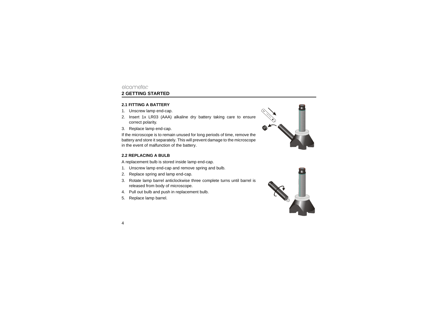## <span id="page-5-0"></span>elcometer **2 GETTING STARTED**

#### **2.1 FITTING A BATTERY**

- 1. Unscrew lamp end-cap.
- 2. Insert 1x LR03 (AAA) alkaline dry battery taking care to ensure correct polarity.
- 3. Replace lamp end-cap.

If the microscope is to remain unused for long periods of time, remove the battery and store it separately. This will prevent damage to the microscope in the event of malfunction of the battery.

#### **2.2 REPLACING A BULB**

A replacement bulb is stored inside lamp end-cap.

- 1. Unscrew lamp end-cap and remove spring and bulb.
- 2. Replace spring and lamp end-cap.
- 3. Rotate lamp barrel anticlockwise three complete turns until barrel is released from body of microscope.
- 4. Pull out bulb and push in replacement bulb.
- 5. Replace lamp barrel.



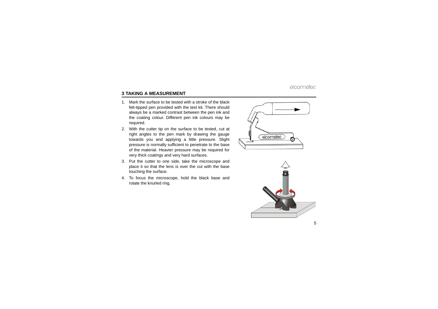## <span id="page-6-0"></span>**3 TAKING A MEASUREMENT**

- 1. Mark the surface to be tested with a stroke of the blackfelt-tipped pen provided with the test kit. There should always be a marked contrast between the pen ink and the coating colour. Different pen ink colours may be required.
- 2. With the cutter tip on the surface to be tested, cut at right angles to the pen mark by drawing the gauge towards you and applying a little pressure. Slight pressure is normally sufficient to penetrate to the base of the material. Heavier pressure may be required for very thick coatings and very hard surfaces.
- 3. Put the cutter to one side, take the microscope and place it so that the lens is over the cut with the base touching the surface.
- 4. To focus the microscope, hold the black base and rotate the knurled ring.



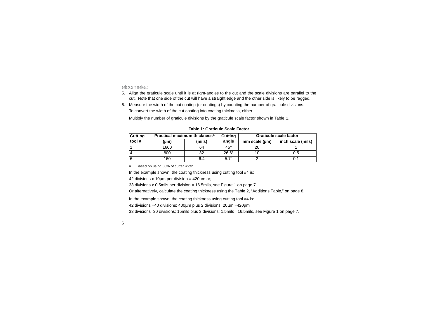- 5. Align the graticule scale until it is at right-angles to the cut and the scale divisions are parallel to the cut. Note that one side of the cut will have a straight edge and the other side is likely to be ragged.
- 6. Measure the width of the cut coating (or coatings) by counting the number of graticule divisions. To convert the width of the cut coating into coating thickness, either:

Multiply the number of graticule divisions by the graticule scale factor shown in Table 1.

| <b>Cutting</b> |      | Practical maximum thickness <sup>a</sup> | Cutting      | Graticule scale factor |                   |  |
|----------------|------|------------------------------------------|--------------|------------------------|-------------------|--|
| tool#          | (µm) | (mils)                                   | angle        | mm scale (µm)          | inch scale (mils) |  |
|                | 1600 | 64                                       | $45^{\circ}$ |                        |                   |  |
| 4              | 800  | 32                                       | $26.6^\circ$ |                        | 0.5               |  |
| <b>6</b>       | 160  | 6.4                                      | $5.7^\circ$  |                        | 0.1               |  |

**Table 1: Graticule Scale Factor**

a. Based on using 80% of cutter width

In the example shown, the coating thickness using cutting tool #4 is:

42 divisions x 10µm per division = 420µm or;

33 divisions x 0.5mils per division  $=$  16.5mils, see [Figure 1 on page 7](#page-8-0).

Or alternatively, calculate the coating thickness using the Table 2, "Additions Table," on page 8.

In the example shown, the coating thickness using cutting tool #4 is:

42 divisions =40 divisions; 400µm plus 2 divisions; 20µm =420µm

33 divisions=30 divisions; 15mils plus 3 divisions; 1.5mils =16.5mils, see [Figure 1 on page 7](#page-8-0).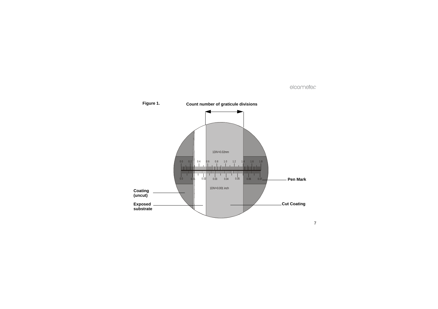<span id="page-8-0"></span>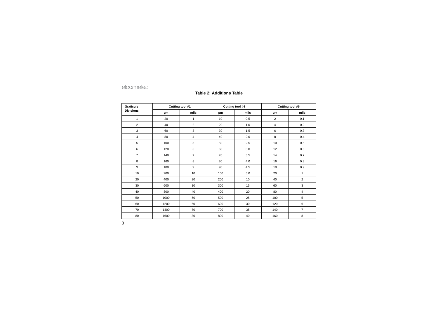#### **Table 2: Additions Table**

| Graticule        | Cutting tool #1 |                | Cutting tool #4 |      | Cutting tool #6 |                |
|------------------|-----------------|----------------|-----------------|------|-----------------|----------------|
| <b>Divisions</b> | μm              | mils           | μm              | mils | μm              | mils           |
| 1                | 20              | 1              | 10              | 0.5  | $\overline{2}$  | 0.1            |
| $\overline{2}$   | 40              | 2              | 20              | 1.0  | $\overline{4}$  | 0.2            |
| 3                | 60              | 3              | 30              | 1.5  | 6               | 0.3            |
| 4                | 80              | 4              | 40              | 2.0  | 8               | 0.4            |
| 5                | 100             | 5              | 50              | 2.5  | 10              | 0.5            |
| 6                | 120             | 6              | 60              | 3.0  | 12              | 0.6            |
| $\overline{7}$   | 140             | $\overline{7}$ | 70              | 3.5  | 14              | 0.7            |
| 8                | 160             | 8              | 80              | 4.0  | 16              | 0.8            |
| 9                | 180             | 9              | 90              | 4.5  | 18              | 0.9            |
| 10               | 200             | 10             | 100             | 5.0  | 20              | 1              |
| 20               | 400             | 20             | 200             | 10   | 40              | 2              |
| 30               | 600             | 30             | 300             | 15   | 60              | 3              |
| 40               | 800             | 40             | 400             | 20   | 80              | 4              |
| 50               | 1000            | 50             | 500             | 25   | 100             | 5              |
| 60               | 1200            | 60             | 600             | 30   | 120             | 6              |
| 70               | 1400            | 70             | 700             | 35   | 140             | $\overline{7}$ |
| 80               | 1600            | 80             | 800             | 40   | 160             | 8              |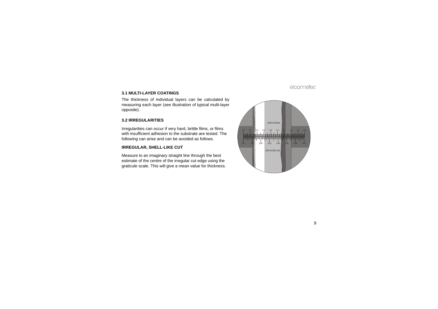#### **3.1 MULTI-LAYER COATINGS**

The thickness of individual layers can be calculated by measuring each layer (see illustration of typical multi-layer opposite).

#### **3.2 IRREGULARITIES**

Irregularities can occur if very hard, brittle films, or films with insufficient adhesion to the substrate are tested. The following can arise and can be avoided as follows.

#### **IRREGULAR, SHELL-LIKE CUT**

Measure to an imaginary straight line through the best estimate of the centre of the irregular cut edge using the graticule scale. This will give a mean value for thickness.

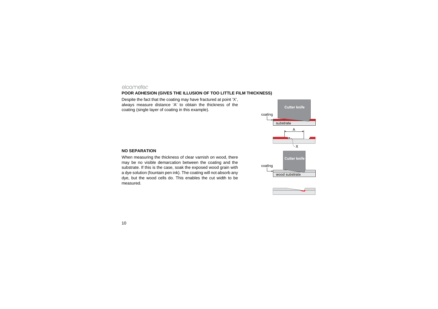#### **POOR ADHESION (GIVES THE ILLUSION OF TOO LITTLE FILM THICKNESS)**

Despite the fact that the coating may have fractured at point 'X', always measure distance 'A' to obtain the thickness of the coating (single layer of coating in this example).





#### **NO SEPARATION**

When measuring the thickness of clear varnish on wood, there may be no visible demarcation between the coating and the substrate. If this is the case, soak the exposed wood grain with a dye solution (fountain pen ink). The coating will not absorb any dye, but the wood cells do. This enables the cut width to be measured.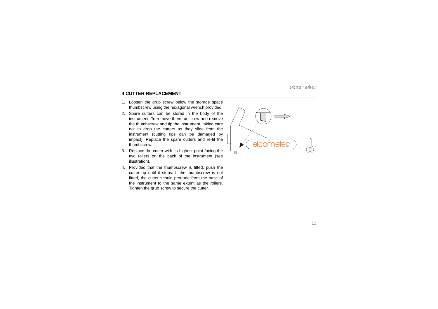## <span id="page-12-0"></span>**4 CUTTER REPLACEMENT**

- 1. Loosen the grub screw below the storage space thumbscrew using the hexagonal wrench provided.
- 2. Spare cutters can be stored in the body of the instrument. To remove them, unscrew and remove the thumbscrew and tip the instrument, taking care not to drop the cutters as they slide from the instrument (cutting tips can be damaged by impact). Replace the spare cutters and re-fit the thumbscrew.
- 3. Replace the cutter with its highest point facing the two rollers on the back of the instrument (see illustration).
- 4. Provided that the thumbscrew is fitted, push the cutter up until it stops. If the thumbscrew is not fitted, the cutter should protrude from the base of the instrument to the same extent as the rollers.Tighten the grub screw to secure the cutter.

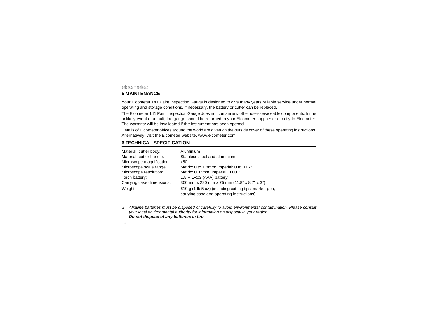## <span id="page-13-0"></span>elcometer **5 MAINTENANCE**

Your Elcometer 141 Paint Inspection Gauge is designed to give many years reliable service under normal operating and storage conditions. If necessary, the battery or cutter can be replaced.

The Elcometer 141 Paint Inspection Gauge does not contain any other user-serviceable components. In the unlikely event of a fault, the gauge should be returned to your Elcometer supplier or directly to Elcometer. The warranty will be invalidated if the instrument has been opened.

Details of Elcometer offices around the world are given on the outside cover of these operating instructions. Alternatively, visit the Elcometer website, [www.elcometer.com](http://www.elcometer.com)

## <span id="page-13-1"></span>**6 TECHNICAL SPECIFICATION**

| Material, cutter body:    | Aluminium                                                                                           |
|---------------------------|-----------------------------------------------------------------------------------------------------|
| Material, cutter handle:  | Stainless steel and aluminium                                                                       |
| Microscope magnification: | x50                                                                                                 |
| Microscope scale range:   | Metric: 0 to 1.8mm: Imperial: 0 to 0.07"                                                            |
| Microscope resolution:    | Metric: 0.02mm; Imperial: 0.001"                                                                    |
| Torch battery:            | 1.5 V LR03 (AAA) battery <sup>a</sup>                                                               |
| Carrying case dimensions: | 300 mm x 220 mm x 75 mm (11.8" x 8.7" x 3")                                                         |
| Weight:                   | 610 g (1 lb 5 oz) (including cutting tips, marker pen,<br>carrying case and operating instructions) |

a. *Alkaline batteries must be disposed of carefully to avoid environmental contamination. Please consult your local environmental authority for information on disposal in your region. Do not dispose of any batteries in fire.*